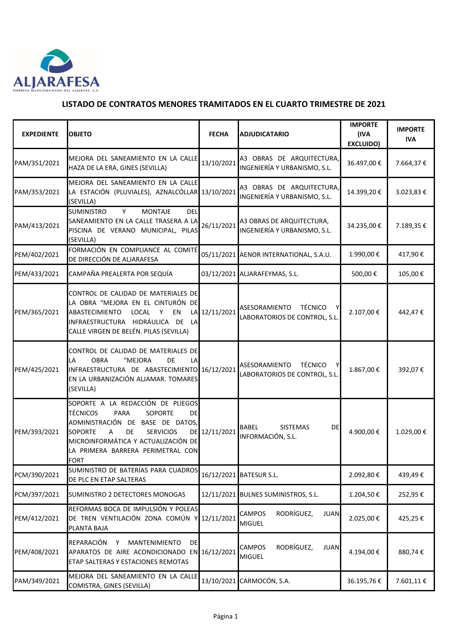

## **LISTADO DE CONTRATOS MENORES TRAMITADOS EN EL CUARTO TRIMESTRE DE 2021**

| <b>EXPEDIENTE</b> | <b>OBJETO</b>                                                                                                                                                                                                                                                 | <b>FECHA</b>  | ADJUDICATARIO                                                    | <b>IMPORTE</b><br>(IVA<br><b>EXCLUIDO)</b> | <b>IMPORTE</b><br>IVA. |
|-------------------|---------------------------------------------------------------------------------------------------------------------------------------------------------------------------------------------------------------------------------------------------------------|---------------|------------------------------------------------------------------|--------------------------------------------|------------------------|
| PAM/351/2021      | MEJORA DEL SANEAMIENTO EN LA CALLE<br>HAZA DE LA ERA, GINES (SEVILLA)                                                                                                                                                                                         | 13/10/2021    | A3 OBRAS DE ARQUITECTURA,<br>INGENIERÍA Y URBANISMO, S.L.        | 36.497,00€                                 | 7.664,37€              |
| PAM/353/2021      | MEJORA DEL SANEAMIENTO EN LA CALLE<br>LA ESTACIÓN (PLUVIALES), AZNALCÓLLAR 13/10/2021<br>(SEVILLA)                                                                                                                                                            |               | A3 OBRAS DE ARQUITECTURA,<br>INGENIERÍA Y URBANISMO, S.L.        | 14.399,20€                                 | 3.023,83 €             |
| PAM/413/2021      | <b>MONTAJE</b><br><b>SUMINISTRO</b><br>Y<br>DEL<br>SANEAMIENTO EN LA CALLE TRASERA A LA<br>PISCINA DE VERANO MUNICIPAL, PILAS<br>(SEVILLA)                                                                                                                    | 26/11/2021    | A3 OBRAS DE ARQUITECTURA,<br>INGENIERÍA Y URBANISMO, S.L.        | 34.235,00 €                                | 7.189,35€              |
| PEM/402/2021      | FORMACIÓN EN COMPLIANCE AL COMITÉ<br>DE DIRECCIÓN DE ALJARAFESA                                                                                                                                                                                               |               | 05/11/2021 AENOR INTERNATIONAL, S.A.U.                           | 1.990,00€                                  | 417,90€                |
| PEM/433/2021      | CAMPAÑA PREALERTA POR SEQUÍA                                                                                                                                                                                                                                  |               | 03/12/2021 ALJARAFEYMAS, S.L.                                    | 500,00€                                    | 105,00€                |
| PEM/365/2021      | CONTROL DE CALIDAD DE MATERIALES DE<br>LA OBRA "MEJORA EN EL CINTURÓN DE<br><b>ABASTECIMIENTO</b><br>LOCAL Y<br>EN<br>LA<br>INFRAESTRUCTURA HIDRÁULICA DE LA<br>CALLE VIRGEN DE BELÉN. PILAS (SEVILLA)                                                        | 12/11/2021    | <b>TÉCNICO</b><br>ASESORAMIENTO<br>LABORATORIOS DE CONTROL, S.L. | 2.107,00€                                  | 442,47€                |
| PEM/425/2021      | CONTROL DE CALIDAD DE MATERIALES DE<br>LA<br><b>OBRA</b><br>"MEJORA<br>DE<br>LA<br>INFRAESTRUCTURA DE ABASTECIMIENTO 16/12/2021<br>EN LA URBANIZACIÓN ALJAMAR. TOMARES<br>(SEVILLA)                                                                           |               | ASESORAMIENTO<br>TÉCNICO<br>LABORATORIOS DE CONTROL, S.L.        | 1.867,00€                                  | 392,07€                |
| PEM/393/2021      | SOPORTE A LA REDACCIÓN DE PLIEGOS<br><b>TÉCNICOS</b><br>PARA<br>SOPORTE<br>DE<br>ADMINISTRACIÓN DE BASE DE DATOS,<br><b>SOPORTE</b><br>DE<br><b>SERVICIOS</b><br>A<br>MICROINFORMÁTICA Y ACTUALIZACIÓN DE<br>LA PRIMERA BARRERA PERIMETRAL CON<br><b>FORT</b> | DE 12/11/2021 | BABEL<br><b>SISTEMAS</b><br>DE<br>INFORMACIÓN, S.L.              | 4.900,00€                                  | 1.029,00€              |
| PCM/390/2021      | SUMINISTRO DE BATERÍAS PARA CUADROS<br>DE PLC EN ETAP SALTERAS                                                                                                                                                                                                |               | 16/12/2021 BATESUR S.L.                                          | 2.092,80€                                  | 439,49€                |
| PCM/397/2021      | SUMINISTRO 2 DETECTORES MONOGAS                                                                                                                                                                                                                               |               | 12/11/2021 BULNES SUMINISTROS, S.L.                              | 1.204,50€                                  | 252,95€                |
| PEM/412/2021      | REFORMAS BOCA DE IMPULSIÓN Y POLEAS<br>DE TREN VENTILACIÓN ZONA COMÚN<br>PLANTA BAJA                                                                                                                                                                          | 12/11/2021    | RODRÍGUEZ,<br>CAMPOS<br><b>JUAN</b><br><b>MIGUEL</b>             | 2.025,00€                                  | 425,25€                |
| PEM/408/2021      | REPARACIÓN<br><b>MANTENIMIENTO</b><br>DE<br>Y<br>APARATOS DE AIRE ACONDICIONADO EN 16/12/2021<br>ETAP SALTERAS Y ESTACIONES REMOTAS                                                                                                                           |               | RODRÍGUEZ,<br>CAMPOS<br><b>JUAN</b><br>MIGUEL                    | 4.194,00€                                  | 880,74€                |
| PAM/349/2021      | MEJORA DEL SANEAMIENTO EN LA CALLE<br>COMISTRA, GINES (SEVILLA)                                                                                                                                                                                               |               | 13/10/2021 CARMOCÓN, S.A.                                        | 36.195,76€                                 | 7.601,11€              |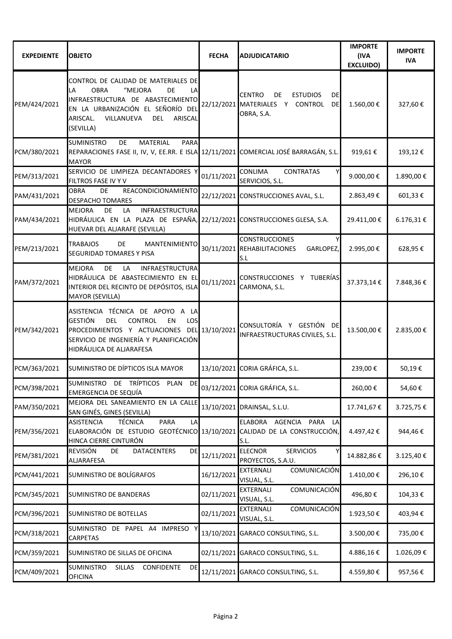| <b>EXPEDIENTE</b> | <b>OBJETO</b>                                                                                                                                                                                                             | <b>FECHA</b> | <b>ADJUDICATARIO</b>                                                                                | <b>IMPORTE</b><br>(IVA<br><b>EXCLUIDO)</b> | <b>IMPORTE</b><br><b>IVA</b> |
|-------------------|---------------------------------------------------------------------------------------------------------------------------------------------------------------------------------------------------------------------------|--------------|-----------------------------------------------------------------------------------------------------|--------------------------------------------|------------------------------|
| PEM/424/2021      | CONTROL DE CALIDAD DE MATERIALES DE<br>LA<br><b>OBRA</b><br>"MEJORA<br>DE<br>LA<br>INFRAESTRUCTURA DE ABASTECIMIENTO<br>EN LA URBANIZACIÓN EL SEÑORÍO DEL<br>ARISCAL.<br>VILLANUEVA<br><b>DEL</b><br>ARISCAL<br>(SEVILLA) |              | CENTRO<br><b>DE</b><br><b>ESTUDIOS</b><br>DE<br>22/12/2021 MATERIALES Y CONTROL<br>DE<br>OBRA, S.A. | 1.560,00€                                  | 327,60€                      |
| PCM/380/2021      | <b>SUMINISTRO</b><br>DE<br><b>MATERIAL</b><br><b>PARA</b><br>REPARACIONES FASE II, IV, V, EE.RR. E ISLA 12/11/2021 COMERCIAL JOSÉ BARRAGÁN, S.L.<br><b>MAYOR</b>                                                          |              |                                                                                                     | 919,61€                                    | 193,12€                      |
| PEM/313/2021      | SERVICIO DE LIMPIEZA DECANTADORES Y<br>FILTROS FASE IV Y V                                                                                                                                                                | 01/11/2021   | CONLIMA<br><b>CONTRATAS</b><br>SERVICIOS, S.L.                                                      | 9.000,00€                                  | 1.890,00€                    |
| PAM/431/2021      | <b>OBRA</b><br>DE<br>REACONDICIONAMIENTO<br><b>DESPACHO TOMARES</b>                                                                                                                                                       |              | 22/12/2021 CONSTRUCCIONES AVAL, S.L.                                                                | 2.863,49€                                  | 601,33€                      |
| PAM/434/2021      | INFRAESTRUCTURA<br><b>MEJORA</b><br><b>DE</b><br>LA<br>HIDRÁULICA EN LA PLAZA DE ESPAÑA,<br>HUEVAR DEL ALJARAFE (SEVILLA)                                                                                                 |              | 22/12/2021 CONSTRUCCIONES GLESA, S.A.                                                               | 29.411,00€                                 | 6.176,31€                    |
| PEM/213/2021      | <b>TRABAJOS</b><br><b>DE</b><br><b>MANTENIMIENTO</b><br>SEGURIDAD TOMARES Y PISA                                                                                                                                          |              | <b>CONSTRUCCIONES</b><br>30/11/2021 REHABILITACIONES<br>GARLOPEZ,<br>S.L                            | 2.995,00€                                  | 628,95€                      |
| PAM/372/2021      | <b>MEJORA</b><br><b>DE</b><br><b>INFRAESTRUCTURA</b><br>LA<br>HIDRÁULICA DE ABASTECIMIENTO EN EL<br>INTERIOR DEL RECINTO DE DEPÓSITOS, ISLA<br><b>MAYOR (SEVILLA)</b>                                                     | 01/11/2021   | CONSTRUCCIONES Y TUBERÍAS<br>CARMONA, S.L.                                                          | 37.373,14€                                 | 7.848,36 €                   |
| PEM/342/2021      | ASISTENCIA TÉCNICA DE APOYO A LA<br><b>GESTIÓN</b><br><b>DEL</b><br><b>CONTROL</b><br>EN<br>LOS<br>PROCEDIMIENTOS Y ACTUACIONES DEL 13/10/2021<br>SERVICIO DE INGENIERÍA Y PLANIFICACIÓN<br>HIDRÁULICA DE ALJARAFESA      |              | CONSULTORÍA Y GESTIÓN DE<br>INFRAESTRUCTURAS CIVILES, S.L.                                          | 13.500,00€                                 | 2.835,00€                    |
| PCM/363/2021      | SUMINISTRO DE DÍPTICOS ISLA MAYOR                                                                                                                                                                                         |              | 13/10/2021 CORIA GRÁFICA, S.L.                                                                      | 239,00€                                    | 50,19€                       |
| PCM/398/2021      | SUMINISTRO DE TRÍPTICOS<br>PLAN DE<br>EMERGENCIA DE SEQUÍA                                                                                                                                                                |              | 03/12/2021 CORIA GRÁFICA, S.L.                                                                      | 260,00€                                    | 54,60€                       |
| PAM/350/2021      | MEJORA DEL SANEAMIENTO EN LA CALLE<br>SAN GINÉS, GINES (SEVILLA)                                                                                                                                                          |              | 13/10/2021 DRAINSAL, S.L.U.                                                                         | 17.741,67€                                 | 3.725,75€                    |
| PEM/356/2021      | <b>ASISTENCIA</b><br><b>TÉCNICA</b><br>PARA<br>LA<br>ELABORACIÓN DE ESTUDIO GEOTÉCNICO 13/10/2021<br>HINCA CIERRE CINTURÓN                                                                                                |              | PARA<br>ELABORA<br>AGENCIA<br>LA<br>CALIDAD DE LA CONSTRUCCIÓN,<br>S.L.                             | 4.497,42€                                  | 944,46€                      |
| PEM/381/2021      | <b>REVISIÓN</b><br>DE<br><b>DATACENTERS</b><br>DE<br>ALJARAFESA                                                                                                                                                           | 12/11/2021   | <b>ELECNOR</b><br><b>SERVICIOS</b><br>PROYECTOS, S.A.U.                                             | 14.882,86€                                 | 3.125,40€                    |
| PCM/441/2021      | SUMINISTRO DE BOLÍGRAFOS                                                                                                                                                                                                  | 16/12/2021   | <b>COMUNICACIÓN</b><br>EXTERNALI<br>VISUAL, S.L.                                                    | 1.410,00€                                  | 296,10€                      |
| PCM/345/2021      | SUMINISTRO DE BANDERAS                                                                                                                                                                                                    | 02/11/2021   | <b>COMUNICACIÓN</b><br>EXTERNALI<br>VISUAL, S.L.                                                    | 496,80€                                    | 104,33€                      |
| PCM/396/2021      | SUMINISTRO DE BOTELLAS                                                                                                                                                                                                    | 02/11/2021   | EXTERNALI<br><b>COMUNICACIÓN</b><br>VISUAL, S.L.                                                    | 1.923,50€                                  | 403,94€                      |
| PCM/318/2021      | SUMINISTRO DE PAPEL A4 IMPRESO<br>CARPETAS                                                                                                                                                                                |              | 13/10/2021 GARACO CONSULTING, S.L.                                                                  | 3.500,00€                                  | 735,00€                      |
| PCM/359/2021      | SUMINISTRO DE SILLAS DE OFICINA                                                                                                                                                                                           |              | 02/11/2021 GARACO CONSULTING, S.L.                                                                  | 4.886,16€                                  | 1.026,09€                    |
| PCM/409/2021      | <b>SUMINISTRO</b><br>CONFIDENTE<br>DE<br><b>SILLAS</b><br><b>OFICINA</b>                                                                                                                                                  |              | 12/11/2021 GARACO CONSULTING, S.L.                                                                  | 4.559,80€                                  | 957,56€                      |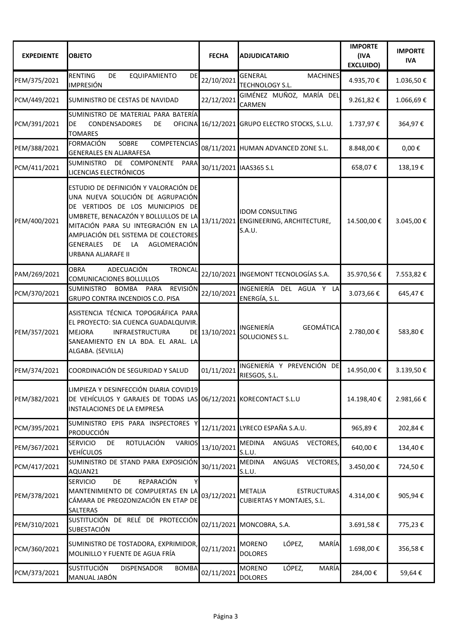| <b>EXPEDIENTE</b> | <b>OBJETO</b>                                                                                                                                                                                                                                                                                                    | <b>FECHA</b>  | <b>ADJUDICATARIO</b>                                                      | <b>IMPORTE</b><br>(IVA<br><b>EXCLUIDO)</b> | <b>IMPORTE</b><br><b>IVA</b> |
|-------------------|------------------------------------------------------------------------------------------------------------------------------------------------------------------------------------------------------------------------------------------------------------------------------------------------------------------|---------------|---------------------------------------------------------------------------|--------------------------------------------|------------------------------|
| PEM/375/2021      | <b>RENTING</b><br>DE<br>DE<br>EQUIPAMIENTO<br><b>IMPRESIÓN</b>                                                                                                                                                                                                                                                   | 22/10/2021    | GENERAL<br><b>MACHINES</b><br>TECHNOLOGY S.L.                             | 4.935,70€                                  | 1.036,50€                    |
| PCM/449/2021      | SUMINISTRO DE CESTAS DE NAVIDAD                                                                                                                                                                                                                                                                                  | 22/12/2021    | GIMÉNEZ MUÑOZ, MARÍA DEL<br>CARMEN                                        | 9.261,82€                                  | 1.066,69€                    |
| PCM/391/2021      | SUMINISTRO DE MATERIAL PARA BATERÍA<br><b>DE</b><br>CONDENSADORES<br>DE<br><b>TOMARES</b>                                                                                                                                                                                                                        |               | OFICINA 16/12/2021 GRUPO ELECTRO STOCKS, S.L.U.                           | 1.737,97€                                  | 364,97€                      |
| PEM/388/2021      | <b>FORMACIÓN</b><br><b>SOBRE</b><br>COMPETENCIAS<br><b>GENERALES EN ALJARAFESA</b>                                                                                                                                                                                                                               |               | 08/11/2021 HUMAN ADVANCED ZONE S.L.                                       | 8.848,00€                                  | $0,00 \in$                   |
| PCM/411/2021      | DE COMPONENTE<br><b>SUMINISTRO</b><br><b>PARA</b><br>LICENCIAS ELECTRÓNICOS                                                                                                                                                                                                                                      |               | 30/11/2021 IAAS365 S.L                                                    | 658,07€                                    | 138,19€                      |
| PEM/400/2021      | ESTUDIO DE DEFINICIÓN Y VALORACIÓN DE<br>UNA NUEVA SOLUCIÓN DE AGRUPACIÓN<br>DE VERTIDOS DE LOS MUNICIPIOS DE<br>UMBRETE, BENACAZÓN Y BOLLULLOS DE LA<br>MITACIÓN PARA SU INTEGRACIÓN EN LA<br>AMPLIACIÓN DEL SISTEMA DE COLECTORES<br><b>GENERALES</b><br>DE<br>AGLOMERACIÓN<br>LA<br><b>URBANA ALJARAFE II</b> |               | <b>IDOM CONSULTING</b><br>13/11/2021 ENGINEERING, ARCHITECTURE,<br>S.A.U. | 14.500,00€                                 | 3.045,00€                    |
| PAM/269/2021      | <b>OBRA</b><br>ADECUACIÓN<br><b>TRONCAL</b><br><b>COMUNICACIONES BOLLULLOS</b>                                                                                                                                                                                                                                   |               | 22/10/2021 INGEMONT TECNOLOGÍAS S.A.                                      | 35.970,56€                                 | 7.553,82€                    |
| PCM/370/2021      | <b>SUMINISTRO</b><br>BOMBA<br><b>REVISIÓN</b><br>PARA<br>GRUPO CONTRA INCENDIOS C.O. PISA                                                                                                                                                                                                                        | 22/10/2021    | INGENIERÍA DEL AGUA Y LA<br>ENERGÍA, S.L.                                 | 3.073,66€                                  | 645,47€                      |
| PEM/357/2021      | ASISTENCIA TÉCNICA TOPOGRÁFICA PARA<br>EL PROYECTO: SIA CUENCA GUADALQUIVIR.<br><b>MEJORA</b><br>INFRAESTRUCTURA<br>SANEAMIENTO EN LA BDA. EL ARAL. LA<br>ALGABA. (SEVILLA)                                                                                                                                      | DE 13/10/2021 | <b>GEOMÁTICA</b><br>INGENIERÍA<br>SOLUCIONES S.L.                         | 2.780,00€                                  | 583,80€                      |
| PEM/374/2021      | COORDINACIÓN DE SEGURIDAD Y SALUD                                                                                                                                                                                                                                                                                | 01/11/2021    | INGENIERÍA Y PREVENCIÓN DE<br>RIESGOS, S.L.                               | 14.950,00€                                 | 3.139,50€                    |
| PEM/382/2021      | LIMPIEZA Y DESINFECCIÓN DIARIA COVID19<br>DE VEHÍCULOS Y GARAJES DE TODAS LAS 06/12/2021 KORECONTACT S.L.U<br>INSTALACIONES DE LA EMPRESA                                                                                                                                                                        |               |                                                                           | 14.198,40€                                 | 2.981,66€                    |
| PCM/395/2021      | SUMINISTRO EPIS PARA INSPECTORES Y<br>PRODUCCIÓN                                                                                                                                                                                                                                                                 |               | 12/11/2021 LYRECO ESPAÑA S.A.U.                                           | 965,89€                                    | 202,84€                      |
| PEM/367/2021      | <b>SERVICIO</b><br>DE<br>ROTULACIÓN<br><b>VARIOS</b><br><b>VEHÍCULOS</b>                                                                                                                                                                                                                                         | 13/10/2021    | <b>MEDINA</b><br>ANGUAS<br>VECTORES,<br>S.L.U.                            | 640,00€                                    | 134,40€                      |
| PCM/417/2021      | SUMINISTRO DE STAND PARA EXPOSICIÓN<br>AQUAN21                                                                                                                                                                                                                                                                   | 30/11/2021    | <b>MEDINA</b><br>ANGUAS<br>VECTORES,<br>S.L.U.                            | 3.450,00€                                  | 724,50€                      |
| PEM/378/2021      | REPARACIÓN<br><b>SERVICIO</b><br>DE<br>Υ<br>MANTENIMIENTO DE COMPUERTAS EN LA<br>CÁMARA DE PREOZONIZACIÓN EN ETAP DE<br><b>SALTERAS</b>                                                                                                                                                                          | 03/12/2021    | <b>METALIA</b><br><b>ESTRUCTURAS</b><br><b>CUBIERTAS Y MONTAJES, S.L.</b> | 4.314,00€                                  | 905,94€                      |
| PEM/310/2021      | SUSTITUCIÓN DE RELÉ DE PROTECCIÓN<br>SUBESTACIÓN                                                                                                                                                                                                                                                                 |               | 02/11/2021 MONCOBRA, S.A.                                                 | 3.691,58€                                  | 775,23€                      |
| PCM/360/2021      | SUMINISTRO DE TOSTADORA, EXPRIMIDOR,<br>MOLINILLO Y FUENTE DE AGUA FRÍA                                                                                                                                                                                                                                          | 02/11/2021    | LÓPEZ,<br>MARÍA<br><b>MORENO</b><br><b>DOLORES</b>                        | 1.698,00€                                  | 356,58€                      |
| PCM/373/2021      | <b>SUSTITUCIÓN</b><br><b>DISPENSADOR</b><br><b>BOMBA</b><br>MANUAL JABÓN                                                                                                                                                                                                                                         | 02/11/2021    | <b>MORENO</b><br>LÓPEZ,<br>MARÍA<br><b>DOLORES</b>                        | 284,00€                                    | 59,64€                       |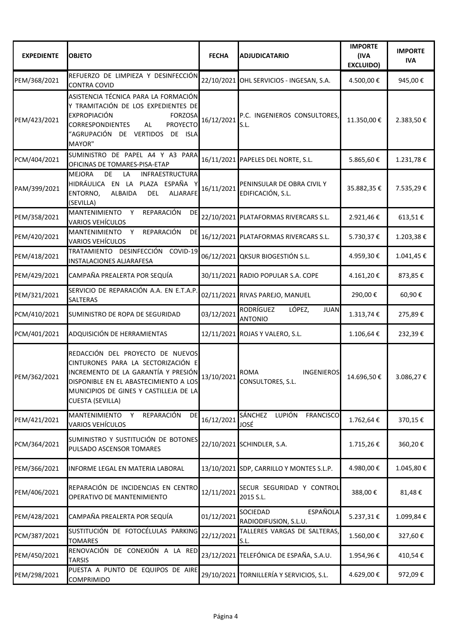| <b>EXPEDIENTE</b> | <b>OBJETO</b>                                                                                                                                                                                                               | <b>FECHA</b> | <b>ADJUDICATARIO</b>                                 | <b>IMPORTE</b><br>(IVA<br><b>EXCLUIDO)</b> | <b>IMPORTE</b><br><b>IVA</b> |
|-------------------|-----------------------------------------------------------------------------------------------------------------------------------------------------------------------------------------------------------------------------|--------------|------------------------------------------------------|--------------------------------------------|------------------------------|
| PEM/368/2021      | REFUERZO DE LIMPIEZA Y DESINFECCIÓN<br>CONTRA COVID                                                                                                                                                                         |              | 22/10/2021 OHL SERVICIOS - INGESAN, S.A.             | 4.500,00€                                  | 945,00€                      |
| PEM/423/2021      | ASISTENCIA TÉCNICA PARA LA FORMACIÓN<br>Y TRAMITACIÓN DE LOS EXPEDIENTES DE<br><b>EXPROPIACIÓN</b><br><b>FORZOSA</b><br><b>CORRESPONDIENTES</b><br>AL<br><b>PROYECTO</b><br>"AGRUPACIÓN DE VERTIDOS DE ISLA<br>MAYOR"       | 16/12/2021   | P.C. INGENIEROS CONSULTORES,<br>S.L.                 | 11.350,00€                                 | 2.383,50€                    |
| PCM/404/2021      | SUMINISTRO DE PAPEL A4 Y A3 PARA<br>OFICINAS DE TOMARES-PISA-ETAP                                                                                                                                                           |              | 16/11/2021 PAPELES DEL NORTE, S.L.                   | 5.865,60€                                  | 1.231,78€                    |
| PAM/399/2021      | <b>MEJORA</b><br>DE<br>LA<br>INFRAESTRUCTURA<br>HIDRÁULICA EN LA PLAZA ESPAÑA<br>ENTORNO,<br>ALJARAFE<br>ALBAIDA<br><b>DEL</b><br>(SEVILLA)                                                                                 | 16/11/2021   | PENINSULAR DE OBRA CIVIL Y<br>EDIFICACIÓN, S.L.      | 35.882,35€                                 | 7.535,29€                    |
| PEM/358/2021      | MANTENIMIENTO<br>REPARACIÓN<br>DE<br>Y<br><b>VARIOS VEHÍCULOS</b>                                                                                                                                                           |              | 22/10/2021 PLATAFORMAS RIVERCARS S.L.                | 2.921,46€                                  | 613,51€                      |
| PEM/420/2021      | REPARACIÓN<br>MANTENIMIENTO<br>Y<br>DE<br><b>VARIOS VEHÍCULOS</b>                                                                                                                                                           |              | 16/12/2021 PLATAFORMAS RIVERCARS S.L.                | 5.730,37€                                  | 1.203,38€                    |
| PEM/418/2021      | <b>DESINFECCIÓN</b><br><b>TRATAMIENTO</b><br>COVID-19<br>INSTALACIONES ALJARAFESA                                                                                                                                           |              | 06/12/2021 QKSUR BIOGESTIÓN S.L.                     | 4.959,30€                                  | 1.041,45€                    |
| PEM/429/2021      | CAMPAÑA PREALERTA POR SEQUÍA                                                                                                                                                                                                |              | 30/11/2021 RADIO POPULAR S.A. COPE                   | 4.161,20€                                  | 873,85€                      |
| PEM/321/2021      | SERVICIO DE REPARACIÓN A.A. EN E.T.A.P.<br>SALTERAS                                                                                                                                                                         |              | 02/11/2021 RIVAS PAREJO, MANUEL                      | 290,00€                                    | 60,90€                       |
| PCM/410/2021      | SUMINISTRO DE ROPA DE SEGURIDAD                                                                                                                                                                                             | 03/12/2021   | RODRÍGUEZ<br>LÓPEZ,<br><b>JUAN</b><br><b>ANTONIO</b> | 1.313,74€                                  | 275,89€                      |
| PCM/401/2021      | ADQUISICIÓN DE HERRAMIENTAS                                                                                                                                                                                                 |              | 12/11/2021 ROJAS Y VALERO, S.L.                      | 1.106,64€                                  | 232,39€                      |
| PEM/362/2021      | REDACCIÓN DEL PROYECTO DE NUEVOS<br>CINTURONES PARA LA SECTORIZACIÓN E<br>INCREMENTO DE LA GARANTÍA Y PRESIÓN<br>DISPONIBLE EN EL ABASTECIMIENTO A LOS<br>MUNICIPIOS DE GINES Y CASTILLEJA DE LA<br><b>CUESTA (SEVILLA)</b> | 13/10/2021   | ROMA<br><b>INGENIEROS</b><br>CONSULTORES, S.L.       | 14.696,50€                                 | 3.086,27€                    |
| PEM/421/2021      | MANTENIMIENTO<br>REPARACIÓN<br>Y<br>DE<br><b>VARIOS VEHÍCULOS</b>                                                                                                                                                           | 16/12/2021   | SÁNCHEZ<br>LUPIÓN<br><b>FRANCISCO</b><br>JOSÉ        | 1.762,64€                                  | 370,15€                      |
| PCM/364/2021      | SUMINISTRO Y SUSTITUCIÓN DE BOTONES<br>PULSADO ASCENSOR TOMARES                                                                                                                                                             |              | 22/10/2021 SCHINDLER, S.A.                           | 1.715,26€                                  | 360,20€                      |
| PEM/366/2021      | INFORME LEGAL EN MATERIA LABORAL                                                                                                                                                                                            |              | 13/10/2021 SDP, CARRILLO Y MONTES S.L.P.             | 4.980,00€                                  | 1.045,80€                    |
| PEM/406/2021      | REPARACIÓN DE INCIDENCIAS EN CENTRO<br>OPERATIVO DE MANTENIMIENTO                                                                                                                                                           | 12/11/2021   | SECUR SEGURIDAD Y CONTROL<br>2015 S.L.               | 388,00€                                    | 81,48€                       |
| PEM/428/2021      | CAMPAÑA PREALERTA POR SEQUÍA                                                                                                                                                                                                | 01/12/2021   | <b>ESPAÑOLA</b><br>SOCIEDAD<br>RADIODIFUSION, S.L.U. | 5.237,31€                                  | 1.099,84€                    |
| PCM/387/2021      | SUSTITUCIÓN DE FOTOCÉLULAS PARKING<br><b>TOMARES</b>                                                                                                                                                                        | 22/12/2021   | TALLERES VARGAS DE SALTERAS,<br>S.L.                 | 1.560,00€                                  | 327,60€                      |
| PEM/450/2021      | RENOVACIÓN DE CONEXIÓN A LA RED<br><b>TARSIS</b>                                                                                                                                                                            |              | 23/12/2021 TELEFÓNICA DE ESPAÑA, S.A.U.              | 1.954,96€                                  | 410,54€                      |
| PEM/298/2021      | PUESTA A PUNTO DE EQUIPOS DE AIRE<br><b>COMPRIMIDO</b>                                                                                                                                                                      |              | 29/10/2021 TORNILLERÍA Y SERVICIOS, S.L.             | 4.629,00€                                  | 972,09€                      |